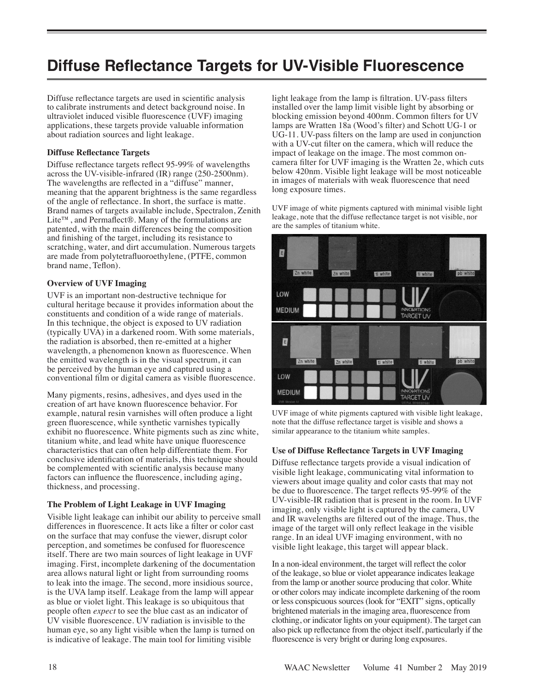# **Diffuse Reflectance Targets for UV-Visible Fluorescence**

Diffuse reflectance targets are used in scientific analysis to calibrate instruments and detect background noise. In ultraviolet induced visible fluorescence (UVF) imaging applications, these targets provide valuable information about radiation sources and light leakage.

#### **Diffuse Reflectance Targets**

Diffuse reflectance targets reflect 95-99% of wavelengths across the UV-visible-infrared (IR) range (250-2500nm). The wavelengths are reflected in a "diffuse" manner, meaning that the apparent brightness is the same regardless of the angle of reflectance. In short, the surface is matte. Brand names of targets available include, Spectralon, Zenith Lite™, and Permaflect®. Many of the formulations are patented, with the main differences being the composition and finishing of the target, including its resistance to scratching, water, and dirt accumulation. Numerous targets are made from polytetrafluoroethylene, (PTFE, common brand name, Teflon).

### **Overview of UVF Imaging**

UVF is an important non-destructive technique for cultural heritage because it provides information about the constituents and condition of a wide range of materials. In this technique, the object is exposed to UV radiation (typically UVA) in a darkened room. With some materials, the radiation is absorbed, then re-emitted at a higher wavelength, a phenomenon known as fluorescence. When the emitted wavelength is in the visual spectrum, it can be perceived by the human eye and captured using a conventional film or digital camera as visible fluorescence.

Many pigments, resins, adhesives, and dyes used in the creation of art have known fluorescence behavior. For example, natural resin varnishes will often produce a light green fluorescence, while synthetic varnishes typically exhibit no fluorescence. White pigments such as zinc white, titanium white, and lead white have unique fluorescence characteristics that can often help differentiate them. For conclusive identification of materials, this technique should be complemented with scientific analysis because many factors can influence the fluorescence, including aging, thickness, and processing.

#### **The Problem of Light Leakage in UVF Imaging**

Visible light leakage can inhibit our ability to perceive small differences in fluorescence. It acts like a filter or color cast on the surface that may confuse the viewer, disrupt color perception, and sometimes be confused for fluorescence itself. There are two main sources of light leakage in UVF imaging. First, incomplete darkening of the documentation area allows natural light or light from surrounding rooms to leak into the image. The second, more insidious source, is the UVA lamp itself. Leakage from the lamp will appear as blue or violet light. This leakage is so ubiquitous that people often *expect* to see the blue cast as an indicator of UV visible fluorescence. UV radiation is invisible to the human eye, so any light visible when the lamp is turned on is indicative of leakage. The main tool for limiting visible

light leakage from the lamp is filtration. UV-pass filters installed over the lamp limit visible light by absorbing or blocking emission beyond 400nm. Common filters for UV lamps are Wratten 18a (Wood's filter) and Schott UG-1 or UG-11. UV-pass filters on the lamp are used in conjunction with a UV-cut filter on the camera, which will reduce the impact of leakage on the image. The most common oncamera filter for UVF imaging is the Wratten 2e, which cuts below 420nm. Visible light leakage will be most noticeable in images of materials with weak fluorescence that need long exposure times.

UVF image of white pigments captured with minimal visible light leakage, note that the diffuse reflectance target is not visible, nor are the samples of titanium white.



UVF image of white pigments captured with visible light leakage, note that the diffuse reflectance target is visible and shows a similar appearance to the titanium white samples.

#### **Use of Diffuse Reflectance Targets in UVF Imaging**

Diffuse reflectance targets provide a visual indication of visible light leakage, communicating vital information to viewers about image quality and color casts that may not be due to fluorescence. The target reflects 95-99% of the UV-visible-IR radiation that is present in the room. In UVF imaging, only visible light is captured by the camera, UV and IR wavelengths are filtered out of the image. Thus, the image of the target will only reflect leakage in the visible range. In an ideal UVF imaging environment, with no visible light leakage, this target will appear black.

In a non-ideal environment, the target will reflect the color of the leakage, so blue or violet appearance indicates leakage from the lamp or another source producing that color. White or other colors may indicate incomplete darkening of the room or less conspicuous sources (look for "EXIT" signs, optically brightened materials in the imaging area, fluorescence from clothing, or indicator lights on your equipment). The target can also pick up reflectance from the object itself, particularly if the fluorescence is very bright or during long exposures.